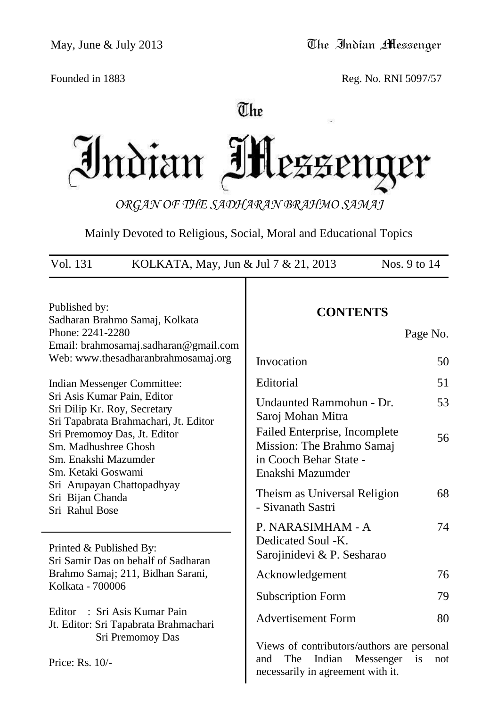Founded in 1883 Reg. No. RNI 5097/57

# The

Indian If er

*ORGAN OF THE SADHARAN BRAHMO SAMAJ*

Mainly Devoted to Religious, Social, Moral and Educational Topics

| Vol. 131<br>KOLKATA, May, Jun & Jul 7 & 21, 2013                                                                                                    | Nos. 9 to 14                                                                                                                      |
|-----------------------------------------------------------------------------------------------------------------------------------------------------|-----------------------------------------------------------------------------------------------------------------------------------|
| Published by:<br>Sadharan Brahmo Samaj, Kolkata<br>Phone: 2241-2280<br>Email: brahmosamaj.sadharan@gmail.com<br>Web: www.thesadharanbrahmosamaj.org | <b>CONTENTS</b><br>Page No.<br>Invocation<br>50                                                                                   |
| Indian Messenger Committee:<br>Sri Asis Kumar Pain, Editor<br>Sri Dilip Kr. Roy, Secretary<br>Sri Tapabrata Brahmachari, Jt. Editor                 | Editorial<br>51<br>Undaunted Rammohun - Dr.<br>53<br>Saroj Mohan Mitra                                                            |
| Sri Premomoy Das, Jt. Editor<br>Sm. Madhushree Ghosh<br>Sm. Enakshi Mazumder<br>Sm. Ketaki Goswami                                                  | Failed Enterprise, Incomplete<br>56<br>Mission: The Brahmo Samaj<br>in Cooch Behar State -<br>Enakshi Mazumder                    |
| Sri Arupayan Chattopadhyay<br>Sri Bijan Chanda<br>Sri Rahul Bose                                                                                    | Theism as Universal Religion<br>68<br>- Sivanath Sastri                                                                           |
| Printed & Published By:<br>Sri Samir Das on behalf of Sadharan                                                                                      | P. NARASIMHAM - A<br>74<br>Dedicated Soul -K.<br>Sarojinidevi & P. Sesharao                                                       |
| Brahmo Samaj; 211, Bidhan Sarani,                                                                                                                   | 76<br>Acknowledgement                                                                                                             |
| Kolkata - 700006                                                                                                                                    | <b>Subscription Form</b><br>79                                                                                                    |
| : Sri Asis Kumar Pain<br>Editor<br>Jt. Editor: Sri Tapabrata Brahmachari                                                                            | <b>Advertisement Form</b><br>80                                                                                                   |
| Sri Premomoy Das<br>Price: Rs. 10/-                                                                                                                 | Views of contributors/authors are personal<br>Indian<br>and<br>The<br>Messenger<br>is<br>not<br>necessarily in agreement with it. |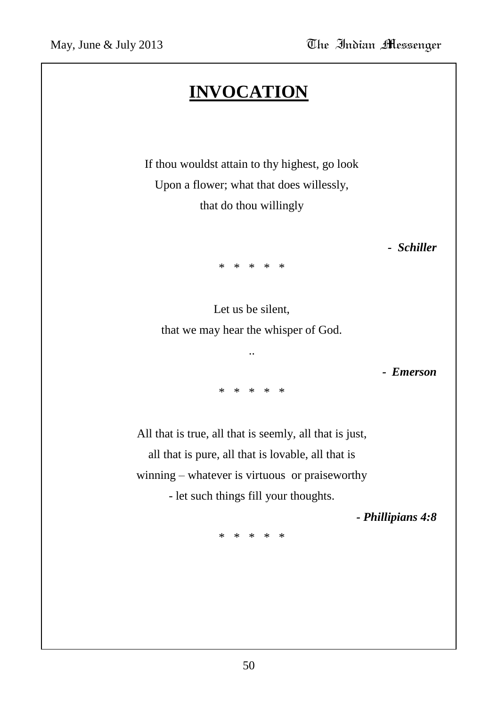# **INVOCATION**

If thou wouldst attain to thy highest, go look Upon a flower; what that does willessly, that do thou willingly

*- Schiller*

\* \* \* \* \*

Let us be silent, that we may hear the whisper of God.

..

*- Emerson*

\* \* \* \* \*

All that is true, all that is seemly, all that is just, all that is pure, all that is lovable, all that is winning – whatever is virtuous or praiseworthy - let such things fill your thoughts.

*- Phillipians 4:8*

\* \* \* \* \*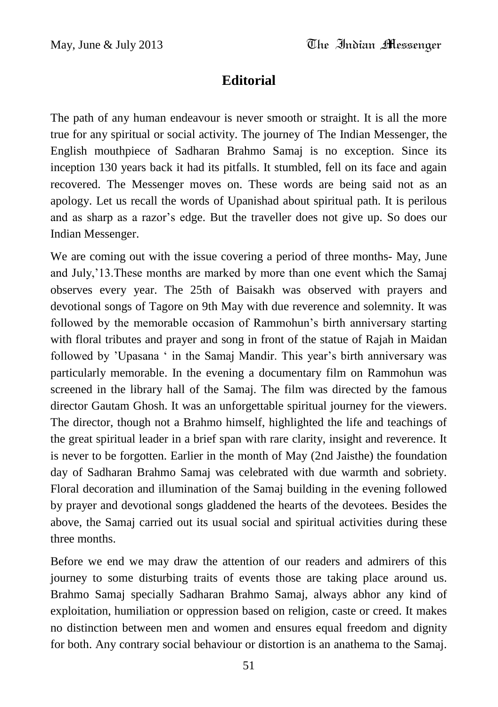## **Editorial**

The path of any human endeavour is never smooth or straight. It is all the more true for any spiritual or social activity. The journey of The Indian Messenger, the English mouthpiece of Sadharan Brahmo Samaj is no exception. Since its inception 130 years back it had its pitfalls. It stumbled, fell on its face and again recovered. The Messenger moves on. These words are being said not as an apology. Let us recall the words of Upanishad about spiritual path. It is perilous and as sharp as a razor"s edge. But the traveller does not give up. So does our Indian Messenger.

We are coming out with the issue covering a period of three months- May, June and July,"13.These months are marked by more than one event which the Samaj observes every year. The 25th of Baisakh was observed with prayers and devotional songs of Tagore on 9th May with due reverence and solemnity. It was followed by the memorable occasion of Rammohun's birth anniversary starting with floral tributes and prayer and song in front of the statue of Rajah in Maidan followed by 'Upasana ' in the Samaj Mandir. This year's birth anniversary was particularly memorable. In the evening a documentary film on Rammohun was screened in the library hall of the Samaj. The film was directed by the famous director Gautam Ghosh. It was an unforgettable spiritual journey for the viewers. The director, though not a Brahmo himself, highlighted the life and teachings of the great spiritual leader in a brief span with rare clarity, insight and reverence. It is never to be forgotten. Earlier in the month of May (2nd Jaisthe) the foundation day of Sadharan Brahmo Samaj was celebrated with due warmth and sobriety. Floral decoration and illumination of the Samaj building in the evening followed by prayer and devotional songs gladdened the hearts of the devotees. Besides the above, the Samaj carried out its usual social and spiritual activities during these three months.

Before we end we may draw the attention of our readers and admirers of this journey to some disturbing traits of events those are taking place around us. Brahmo Samaj specially Sadharan Brahmo Samaj, always abhor any kind of exploitation, humiliation or oppression based on religion, caste or creed. It makes no distinction between men and women and ensures equal freedom and dignity for both. Any contrary social behaviour or distortion is an anathema to the Samaj.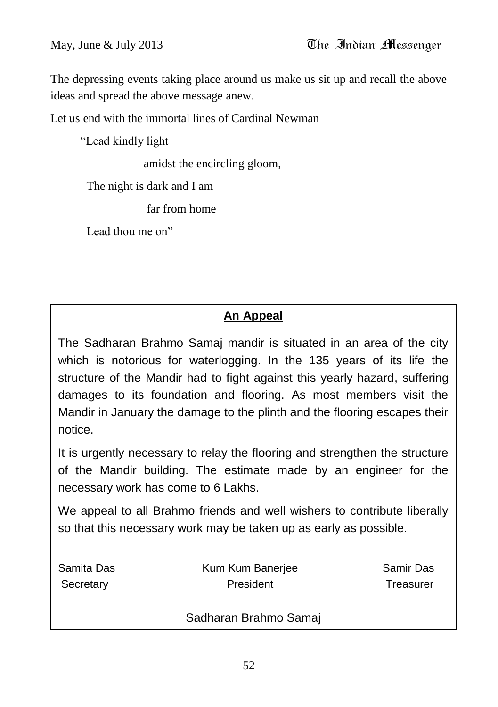The depressing events taking place around us make us sit up and recall the above ideas and spread the above message anew.

Let us end with the immortal lines of Cardinal Newman

"Lead kindly light

amidst the encircling gloom,

The night is dark and I am

far from home

Lead thou me on"

## **An Appeal**

The Sadharan Brahmo Samaj mandir is situated in an area of the city which is notorious for waterlogging. In the 135 years of its life the structure of the Mandir had to fight against this yearly hazard, suffering damages to its foundation and flooring. As most members visit the Mandir in January the damage to the plinth and the flooring escapes their notice.

It is urgently necessary to relay the flooring and strengthen the structure of the Mandir building. The estimate made by an engineer for the necessary work has come to 6 Lakhs.

We appeal to all Brahmo friends and well wishers to contribute liberally so that this necessary work may be taken up as early as possible.

| Samita Das | Kum Kum Banerjee      | Samir Das |
|------------|-----------------------|-----------|
| Secretary  | President             | Treasurer |
|            | Sadharan Brahmo Samaj |           |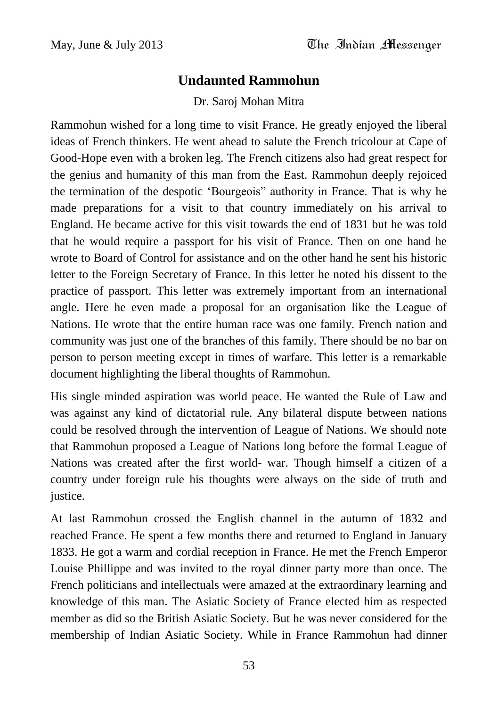## **Undaunted Rammohun**

Dr. Saroj Mohan Mitra

Rammohun wished for a long time to visit France. He greatly enjoyed the liberal ideas of French thinkers. He went ahead to salute the French tricolour at Cape of Good-Hope even with a broken leg. The French citizens also had great respect for the genius and humanity of this man from the East. Rammohun deeply rejoiced the termination of the despotic "Bourgeois" authority in France. That is why he made preparations for a visit to that country immediately on his arrival to England. He became active for this visit towards the end of 1831 but he was told that he would require a passport for his visit of France. Then on one hand he wrote to Board of Control for assistance and on the other hand he sent his historic letter to the Foreign Secretary of France. In this letter he noted his dissent to the practice of passport. This letter was extremely important from an international angle. Here he even made a proposal for an organisation like the League of Nations. He wrote that the entire human race was one family. French nation and community was just one of the branches of this family. There should be no bar on person to person meeting except in times of warfare. This letter is a remarkable document highlighting the liberal thoughts of Rammohun.

His single minded aspiration was world peace. He wanted the Rule of Law and was against any kind of dictatorial rule. Any bilateral dispute between nations could be resolved through the intervention of League of Nations. We should note that Rammohun proposed a League of Nations long before the formal League of Nations was created after the first world- war. Though himself a citizen of a country under foreign rule his thoughts were always on the side of truth and justice.

At last Rammohun crossed the English channel in the autumn of 1832 and reached France. He spent a few months there and returned to England in January 1833. He got a warm and cordial reception in France. He met the French Emperor Louise Phillippe and was invited to the royal dinner party more than once. The French politicians and intellectuals were amazed at the extraordinary learning and knowledge of this man. The Asiatic Society of France elected him as respected member as did so the British Asiatic Society. But he was never considered for the membership of Indian Asiatic Society. While in France Rammohun had dinner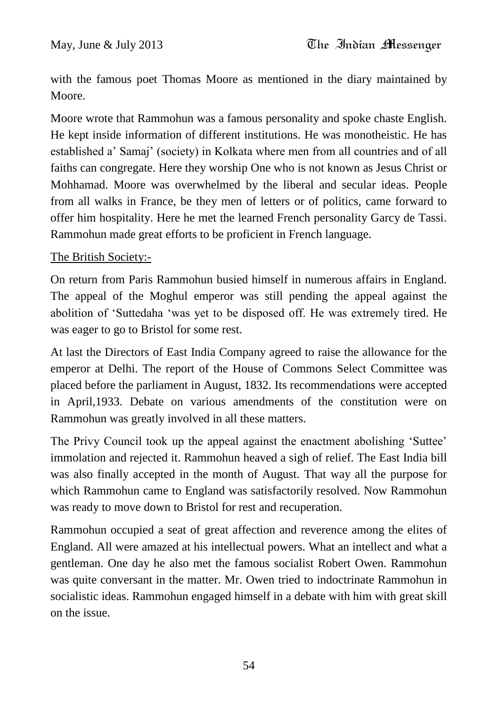with the famous poet Thomas Moore as mentioned in the diary maintained by Moore.

Moore wrote that Rammohun was a famous personality and spoke chaste English. He kept inside information of different institutions. He was monotheistic. He has established a" Samaj" (society) in Kolkata where men from all countries and of all faiths can congregate. Here they worship One who is not known as Jesus Christ or Mohhamad. Moore was overwhelmed by the liberal and secular ideas. People from all walks in France, be they men of letters or of politics, came forward to offer him hospitality. Here he met the learned French personality Garcy de Tassi. Rammohun made great efforts to be proficient in French language.

#### The British Society:-

On return from Paris Rammohun busied himself in numerous affairs in England. The appeal of the Moghul emperor was still pending the appeal against the abolition of "Suttedaha "was yet to be disposed off. He was extremely tired. He was eager to go to Bristol for some rest.

At last the Directors of East India Company agreed to raise the allowance for the emperor at Delhi. The report of the House of Commons Select Committee was placed before the parliament in August, 1832. Its recommendations were accepted in April,1933. Debate on various amendments of the constitution were on Rammohun was greatly involved in all these matters.

The Privy Council took up the appeal against the enactment abolishing "Suttee" immolation and rejected it. Rammohun heaved a sigh of relief. The East India bill was also finally accepted in the month of August. That way all the purpose for which Rammohun came to England was satisfactorily resolved. Now Rammohun was ready to move down to Bristol for rest and recuperation.

Rammohun occupied a seat of great affection and reverence among the elites of England. All were amazed at his intellectual powers. What an intellect and what a gentleman. One day he also met the famous socialist Robert Owen. Rammohun was quite conversant in the matter. Mr. Owen tried to indoctrinate Rammohun in socialistic ideas. Rammohun engaged himself in a debate with him with great skill on the issue.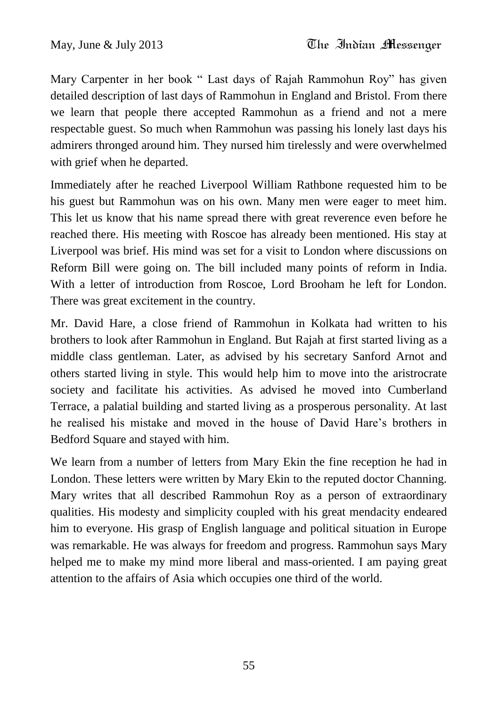Mary Carpenter in her book " Last days of Rajah Rammohun Roy" has given detailed description of last days of Rammohun in England and Bristol. From there we learn that people there accepted Rammohun as a friend and not a mere respectable guest. So much when Rammohun was passing his lonely last days his admirers thronged around him. They nursed him tirelessly and were overwhelmed with grief when he departed.

Immediately after he reached Liverpool William Rathbone requested him to be his guest but Rammohun was on his own. Many men were eager to meet him. This let us know that his name spread there with great reverence even before he reached there. His meeting with Roscoe has already been mentioned. His stay at Liverpool was brief. His mind was set for a visit to London where discussions on Reform Bill were going on. The bill included many points of reform in India. With a letter of introduction from Roscoe, Lord Brooham he left for London. There was great excitement in the country.

Mr. David Hare, a close friend of Rammohun in Kolkata had written to his brothers to look after Rammohun in England. But Rajah at first started living as a middle class gentleman. Later, as advised by his secretary Sanford Arnot and others started living in style. This would help him to move into the aristrocrate society and facilitate his activities. As advised he moved into Cumberland Terrace, a palatial building and started living as a prosperous personality. At last he realised his mistake and moved in the house of David Hare"s brothers in Bedford Square and stayed with him.

We learn from a number of letters from Mary Ekin the fine reception he had in London. These letters were written by Mary Ekin to the reputed doctor Channing. Mary writes that all described Rammohun Roy as a person of extraordinary qualities. His modesty and simplicity coupled with his great mendacity endeared him to everyone. His grasp of English language and political situation in Europe was remarkable. He was always for freedom and progress. Rammohun says Mary helped me to make my mind more liberal and mass-oriented. I am paying great attention to the affairs of Asia which occupies one third of the world.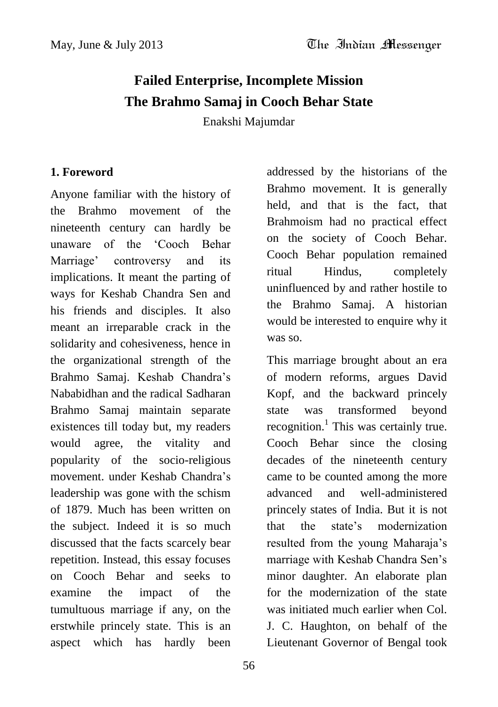## **Failed Enterprise, Incomplete Mission The Brahmo Samaj in Cooch Behar State**

Enakshi Majumdar

#### **1. Foreword**

Anyone familiar with the history of the Brahmo movement of the nineteenth century can hardly be unaware of the "Cooch Behar Marriage" controversy and its implications. It meant the parting of ways for Keshab Chandra Sen and his friends and disciples. It also meant an irreparable crack in the solidarity and cohesiveness, hence in the organizational strength of the Brahmo Samaj. Keshab Chandra"s Nababidhan and the radical Sadharan Brahmo Samaj maintain separate existences till today but, my readers would agree, the vitality and popularity of the socio-religious movement. under Keshab Chandra"s leadership was gone with the schism of 1879. Much has been written on the subject. Indeed it is so much discussed that the facts scarcely bear repetition. Instead, this essay focuses on Cooch Behar and seeks to examine the impact of the tumultuous marriage if any, on the erstwhile princely state. This is an aspect which has hardly been

addressed by the historians of the Brahmo movement. It is generally held, and that is the fact, that Brahmoism had no practical effect on the society of Cooch Behar. Cooch Behar population remained ritual Hindus, completely uninfluenced by and rather hostile to the Brahmo Samaj. A historian would be interested to enquire why it was so.

This marriage brought about an era of modern reforms, argues David Kopf, and the backward princely state was transformed beyond recognition.<sup>1</sup> This was certainly true. Cooch Behar since the closing decades of the nineteenth century came to be counted among the more advanced and well-administered princely states of India. But it is not that the state"s modernization resulted from the young Maharaja"s marriage with Keshab Chandra Sen"s minor daughter. An elaborate plan for the modernization of the state was initiated much earlier when Col. J. C. Haughton, on behalf of the Lieutenant Governor of Bengal took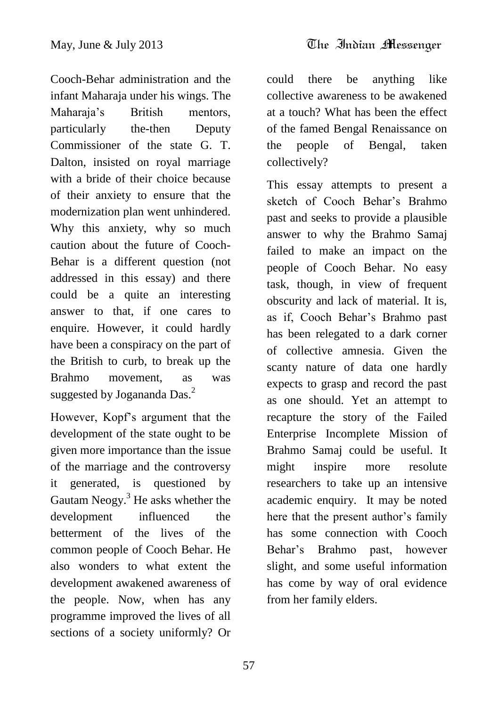Cooch-Behar administration and the infant Maharaja under his wings. The Maharaja"s British mentors, particularly the-then Deputy Commissioner of the state G. T. Dalton, insisted on royal marriage with a bride of their choice because of their anxiety to ensure that the modernization plan went unhindered. Why this anxiety, why so much caution about the future of Cooch-Behar is a different question (not addressed in this essay) and there could be a quite an interesting answer to that, if one cares to enquire. However, it could hardly have been a conspiracy on the part of the British to curb, to break up the Brahmo movement, as was suggested by Jogananda Das.<sup>2</sup>

However, Kopf"s argument that the development of the state ought to be given more importance than the issue of the marriage and the controversy it generated, is questioned by Gautam Neogy.<sup>3</sup> He asks whether the development influenced the betterment of the lives of the common people of Cooch Behar. He also wonders to what extent the development awakened awareness of the people. Now, when has any programme improved the lives of all sections of a society uniformly? Or

could there be anything like collective awareness to be awakened at a touch? What has been the effect of the famed Bengal Renaissance on the people of Bengal, taken collectively?

This essay attempts to present a sketch of Cooch Behar's Brahmo past and seeks to provide a plausible answer to why the Brahmo Samaj failed to make an impact on the people of Cooch Behar. No easy task, though, in view of frequent obscurity and lack of material. It is, as if, Cooch Behar"s Brahmo past has been relegated to a dark corner of collective amnesia. Given the scanty nature of data one hardly expects to grasp and record the past as one should. Yet an attempt to recapture the story of the Failed Enterprise Incomplete Mission of Brahmo Samaj could be useful. It might inspire more resolute researchers to take up an intensive academic enquiry. It may be noted here that the present author's family has some connection with Cooch Behar"s Brahmo past, however slight, and some useful information has come by way of oral evidence from her family elders.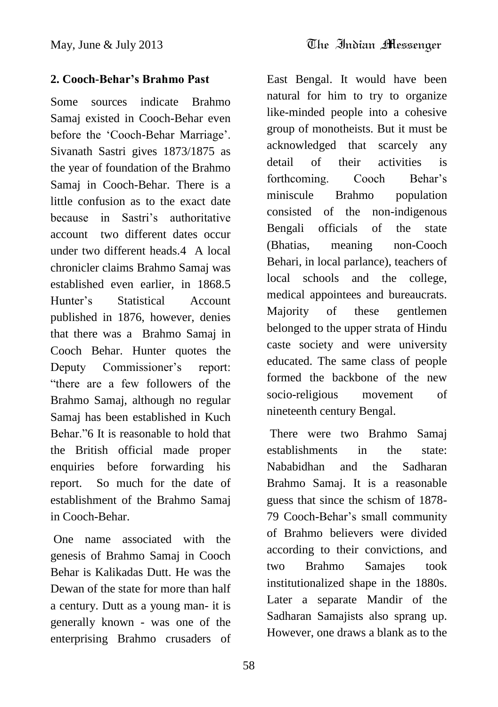## **2. Cooch-Behar's Brahmo Past**

Some sources indicate Brahmo Samaj existed in Cooch-Behar even before the 'Cooch-Behar Marriage'. Sivanath Sastri gives 1873/1875 as the year of foundation of the Brahmo Samaj in Cooch-Behar. There is a little confusion as to the exact date because in Sastri"s authoritative account two different dates occur under two different heads.4 A local chronicler claims Brahmo Samaj was established even earlier, in 1868.5 Hunter"s Statistical Account published in 1876, however, denies that there was a Brahmo Samaj in Cooch Behar. Hunter quotes the Deputy Commissioner's report: "there are a few followers of the Brahmo Samaj, although no regular Samaj has been established in Kuch Behar<sup>3</sup><sup>7</sup>6 It is reasonable to hold that the British official made proper enquiries before forwarding his report. So much for the date of establishment of the Brahmo Samaj in Cooch-Behar.

One name associated with the genesis of Brahmo Samaj in Cooch Behar is Kalikadas Dutt. He was the Dewan of the state for more than half a century. Dutt as a young man- it is generally known - was one of the enterprising Brahmo crusaders of East Bengal. It would have been natural for him to try to organize like-minded people into a cohesive group of monotheists. But it must be acknowledged that scarcely any detail of their activities is forthcoming. Cooch Behar's miniscule Brahmo population consisted of the non-indigenous Bengali officials of the state (Bhatias, meaning non-Cooch Behari, in local parlance), teachers of local schools and the college, medical appointees and bureaucrats. Majority of these gentlemen belonged to the upper strata of Hindu caste society and were university educated. The same class of people formed the backbone of the new socio-religious movement of nineteenth century Bengal.

There were two Brahmo Samaj establishments in the state: Nababidhan and the Sadharan Brahmo Samaj. It is a reasonable guess that since the schism of 1878- 79 Cooch-Behar"s small community of Brahmo believers were divided according to their convictions, and two Brahmo Samajes took institutionalized shape in the 1880s. Later a separate Mandir of the Sadharan Samajists also sprang up. However, one draws a blank as to the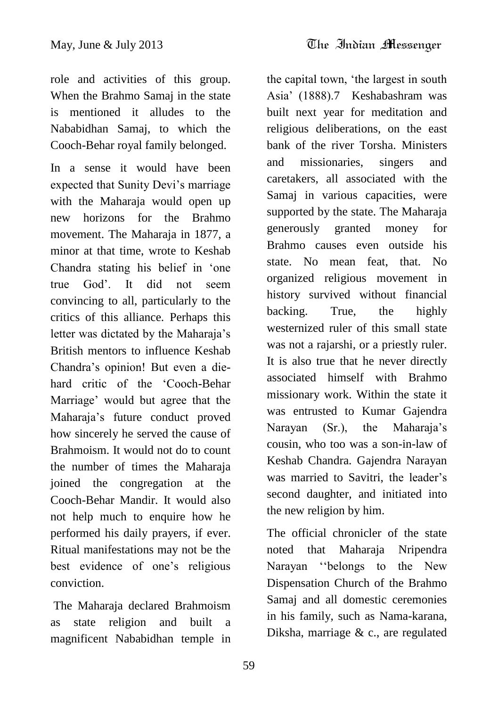role and activities of this group. When the Brahmo Samaj in the state is mentioned it alludes to the Nababidhan Samaj, to which the Cooch-Behar royal family belonged.

In a sense it would have been expected that Sunity Devi's marriage with the Maharaja would open up new horizons for the Brahmo movement. The Maharaja in 1877, a minor at that time, wrote to Keshab Chandra stating his belief in "one true God". It did not seem convincing to all, particularly to the critics of this alliance. Perhaps this letter was dictated by the Maharaja"s British mentors to influence Keshab Chandra"s opinion! But even a diehard critic of the "Cooch-Behar Marriage" would but agree that the Maharaja"s future conduct proved how sincerely he served the cause of Brahmoism. It would not do to count the number of times the Maharaja joined the congregation at the Cooch-Behar Mandir. It would also not help much to enquire how he performed his daily prayers, if ever. Ritual manifestations may not be the best evidence of one"s religious conviction.

The Maharaja declared Brahmoism as state religion and built a magnificent Nababidhan temple in

the capital town, "the largest in south Asia" (1888).7 Keshabashram was built next year for meditation and religious deliberations, on the east bank of the river Torsha. Ministers and missionaries, singers and caretakers, all associated with the Samaj in various capacities, were supported by the state. The Maharaja generously granted money for Brahmo causes even outside his state. No mean feat, that. No organized religious movement in history survived without financial backing. True, the highly westernized ruler of this small state was not a rajarshi, or a priestly ruler. It is also true that he never directly associated himself with Brahmo missionary work. Within the state it was entrusted to Kumar Gajendra Narayan (Sr.), the Maharaja's cousin, who too was a son-in-law of Keshab Chandra. Gajendra Narayan was married to Savitri, the leader's second daughter, and initiated into the new religion by him.

The official chronicler of the state noted that Maharaja Nripendra Narayan "belongs to the New Dispensation Church of the Brahmo Samaj and all domestic ceremonies in his family, such as Nama-karana, Diksha, marriage & c., are regulated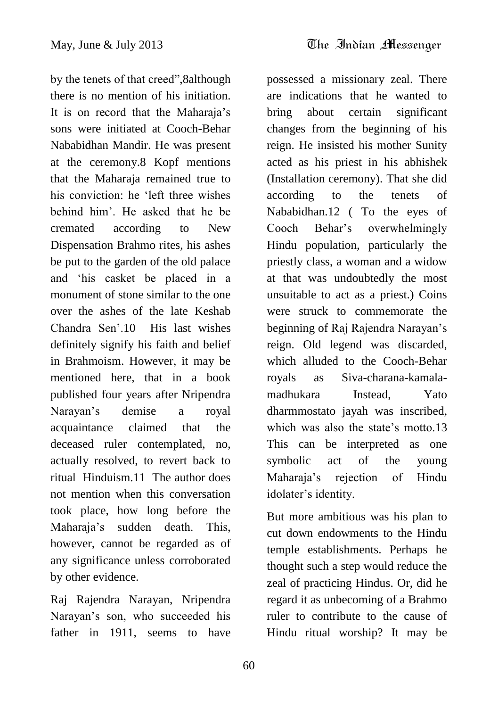by the tenets of that creed",8although there is no mention of his initiation. It is on record that the Maharaja"s sons were initiated at Cooch-Behar Nababidhan Mandir. He was present at the ceremony.8 Kopf mentions that the Maharaja remained true to his conviction: he "left three wishes behind him". He asked that he be cremated according to New Dispensation Brahmo rites, his ashes be put to the garden of the old palace and "his casket be placed in a monument of stone similar to the one over the ashes of the late Keshab Chandra Sen".10 His last wishes definitely signify his faith and belief in Brahmoism. However, it may be mentioned here, that in a book published four years after Nripendra Narayan"s demise a royal acquaintance claimed that the deceased ruler contemplated, no, actually resolved, to revert back to ritual Hinduism.11 The author does not mention when this conversation took place, how long before the Maharaja"s sudden death. This, however, cannot be regarded as of any significance unless corroborated by other evidence.

Raj Rajendra Narayan, Nripendra Narayan"s son, who succeeded his father in 1911, seems to have

possessed a missionary zeal. There are indications that he wanted to bring about certain significant changes from the beginning of his reign. He insisted his mother Sunity acted as his priest in his abhishek (Installation ceremony). That she did according to the tenets of Nababidhan.12 ( To the eyes of Cooch Behar"s overwhelmingly Hindu population, particularly the priestly class, a woman and a widow at that was undoubtedly the most unsuitable to act as a priest.) Coins were struck to commemorate the beginning of Raj Rajendra Narayan"s reign. Old legend was discarded, which alluded to the Cooch-Behar royals as Siva-charana-kamalamadhukara Instead, Yato dharmmostato jayah was inscribed, which was also the state's motto.13 This can be interpreted as one symbolic act of the young Maharaja"s rejection of Hindu idolater's identity.

But more ambitious was his plan to cut down endowments to the Hindu temple establishments. Perhaps he thought such a step would reduce the zeal of practicing Hindus. Or, did he regard it as unbecoming of a Brahmo ruler to contribute to the cause of Hindu ritual worship? It may be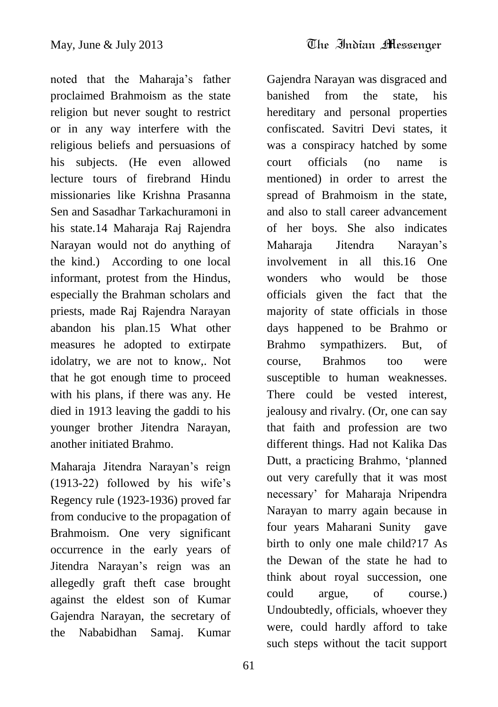noted that the Maharaja"s father proclaimed Brahmoism as the state religion but never sought to restrict or in any way interfere with the religious beliefs and persuasions of his subjects. (He even allowed lecture tours of firebrand Hindu missionaries like Krishna Prasanna Sen and Sasadhar Tarkachuramoni in his state.14 Maharaja Raj Rajendra Narayan would not do anything of the kind.) According to one local informant, protest from the Hindus, especially the Brahman scholars and priests, made Raj Rajendra Narayan abandon his plan.15 What other measures he adopted to extirpate idolatry, we are not to know,. Not that he got enough time to proceed with his plans, if there was any. He died in 1913 leaving the gaddi to his younger brother Jitendra Narayan, another initiated Brahmo.

Maharaja Jitendra Narayan"s reign (1913-22) followed by his wife"s Regency rule (1923-1936) proved far from conducive to the propagation of Brahmoism. One very significant occurrence in the early years of Jitendra Narayan"s reign was an allegedly graft theft case brought against the eldest son of Kumar Gajendra Narayan, the secretary of the Nababidhan Samaj. Kumar

Gajendra Narayan was disgraced and banished from the state, his hereditary and personal properties confiscated. Savitri Devi states, it was a conspiracy hatched by some court officials (no name is mentioned) in order to arrest the spread of Brahmoism in the state, and also to stall career advancement of her boys. She also indicates Maharaja Jitendra Narayan"s involvement in all this.16 One wonders who would be those officials given the fact that the majority of state officials in those days happened to be Brahmo or Brahmo sympathizers. But, of course, Brahmos too were susceptible to human weaknesses. There could be vested interest, jealousy and rivalry. (Or, one can say that faith and profession are two different things. Had not Kalika Das Dutt, a practicing Brahmo, "planned out very carefully that it was most necessary" for Maharaja Nripendra Narayan to marry again because in four years Maharani Sunity gave birth to only one male child?17 As the Dewan of the state he had to think about royal succession, one could argue, of course.) Undoubtedly, officials, whoever they were, could hardly afford to take such steps without the tacit support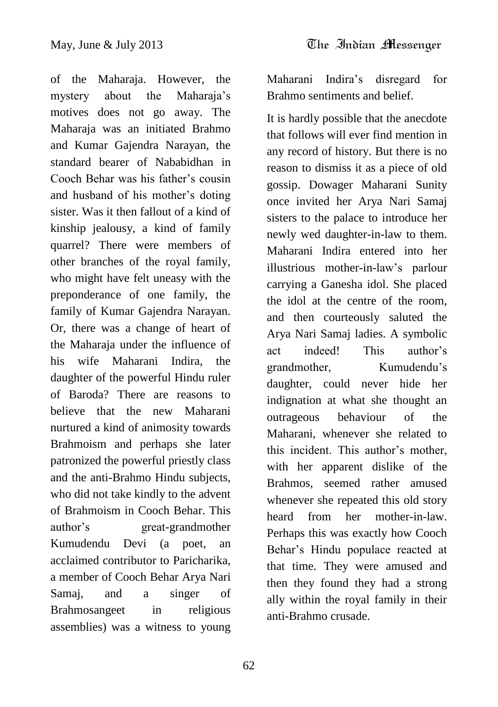of the Maharaja. However, the mystery about the Maharaja"s motives does not go away. The Maharaja was an initiated Brahmo and Kumar Gajendra Narayan, the standard bearer of Nababidhan in Cooch Behar was his father"s cousin and husband of his mother"s doting sister. Was it then fallout of a kind of kinship jealousy, a kind of family quarrel? There were members of other branches of the royal family, who might have felt uneasy with the preponderance of one family, the family of Kumar Gajendra Narayan. Or, there was a change of heart of the Maharaja under the influence of his wife Maharani Indira, the daughter of the powerful Hindu ruler of Baroda? There are reasons to believe that the new Maharani nurtured a kind of animosity towards Brahmoism and perhaps she later patronized the powerful priestly class and the anti-Brahmo Hindu subjects, who did not take kindly to the advent of Brahmoism in Cooch Behar. This author"s great-grandmother Kumudendu Devi (a poet, an acclaimed contributor to Paricharika, a member of Cooch Behar Arya Nari Samaj, and a singer of Brahmosangeet in religious assemblies) was a witness to young

Maharani Indira"s disregard for Brahmo sentiments and belief.

It is hardly possible that the anecdote that follows will ever find mention in any record of history. But there is no reason to dismiss it as a piece of old gossip. Dowager Maharani Sunity once invited her Arya Nari Samaj sisters to the palace to introduce her newly wed daughter-in-law to them. Maharani Indira entered into her illustrious mother-in-law"s parlour carrying a Ganesha idol. She placed the idol at the centre of the room, and then courteously saluted the Arya Nari Samaj ladies. A symbolic act indeed! This author"s grandmother, Kumudendu"s daughter, could never hide her indignation at what she thought an outrageous behaviour of the Maharani, whenever she related to this incident. This author"s mother, with her apparent dislike of the Brahmos, seemed rather amused whenever she repeated this old story heard from her mother-in-law. Perhaps this was exactly how Cooch Behar"s Hindu populace reacted at that time. They were amused and then they found they had a strong ally within the royal family in their anti-Brahmo crusade.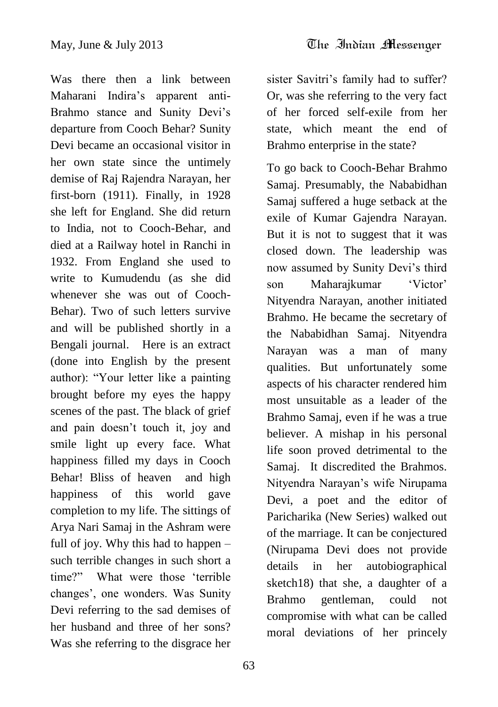Was there then a link between Maharani Indira"s apparent anti-Brahmo stance and Sunity Devi's departure from Cooch Behar? Sunity Devi became an occasional visitor in her own state since the untimely demise of Raj Rajendra Narayan, her first-born (1911). Finally, in 1928 she left for England. She did return to India, not to Cooch-Behar, and died at a Railway hotel in Ranchi in 1932. From England she used to write to Kumudendu (as she did whenever she was out of Cooch-Behar). Two of such letters survive and will be published shortly in a Bengali journal. Here is an extract (done into English by the present author): "Your letter like a painting brought before my eyes the happy scenes of the past. The black of grief and pain doesn"t touch it, joy and smile light up every face. What happiness filled my days in Cooch Behar! Bliss of heaven and high happiness of this world gave completion to my life. The sittings of Arya Nari Samaj in the Ashram were full of joy. Why this had to happen – such terrible changes in such short a time?" What were those "terrible changes", one wonders. Was Sunity Devi referring to the sad demises of her husband and three of her sons? Was she referring to the disgrace her

sister Savitri's family had to suffer? Or, was she referring to the very fact of her forced self-exile from her state, which meant the end of Brahmo enterprise in the state?

To go back to Cooch-Behar Brahmo Samaj. Presumably, the Nababidhan Samaj suffered a huge setback at the exile of Kumar Gajendra Narayan. But it is not to suggest that it was closed down. The leadership was now assumed by Sunity Devi"s third son Maharajkumar 'Victor' Nityendra Narayan, another initiated Brahmo. He became the secretary of the Nababidhan Samaj. Nityendra Narayan was a man of many qualities. But unfortunately some aspects of his character rendered him most unsuitable as a leader of the Brahmo Samaj, even if he was a true believer. A mishap in his personal life soon proved detrimental to the Samaj. It discredited the Brahmos. Nityendra Narayan"s wife Nirupama Devi, a poet and the editor of Paricharika (New Series) walked out of the marriage. It can be conjectured (Nirupama Devi does not provide details in her autobiographical sketch18) that she, a daughter of a Brahmo gentleman, could not compromise with what can be called moral deviations of her princely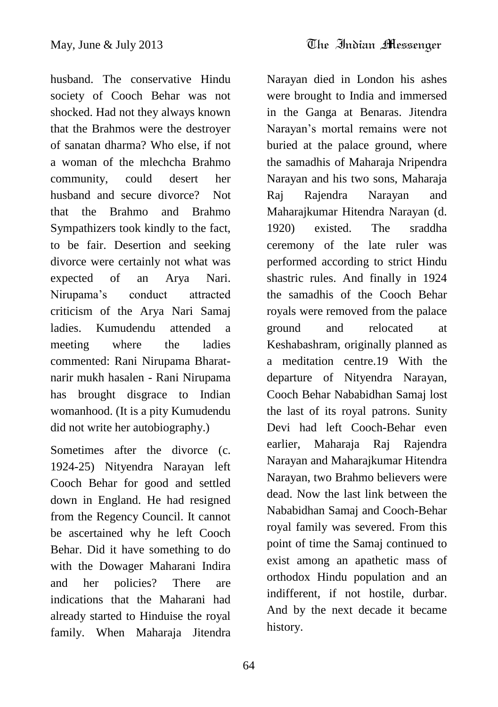husband. The conservative Hindu society of Cooch Behar was not shocked. Had not they always known that the Brahmos were the destroyer of sanatan dharma? Who else, if not a woman of the mlechcha Brahmo community, could desert her husband and secure divorce? Not that the Brahmo and Brahmo Sympathizers took kindly to the fact, to be fair. Desertion and seeking divorce were certainly not what was expected of an Arya Nari. Nirupama"s conduct attracted criticism of the Arya Nari Samaj ladies. Kumudendu attended a meeting where the ladies commented: Rani Nirupama Bharatnarir mukh hasalen - Rani Nirupama has brought disgrace to Indian womanhood. (It is a pity Kumudendu did not write her autobiography.)

Sometimes after the divorce (c. 1924-25) Nityendra Narayan left Cooch Behar for good and settled down in England. He had resigned from the Regency Council. It cannot be ascertained why he left Cooch Behar. Did it have something to do with the Dowager Maharani Indira and her policies? There are indications that the Maharani had already started to Hinduise the royal family. When Maharaja Jitendra

Narayan died in London his ashes were brought to India and immersed in the Ganga at Benaras. Jitendra Narayan"s mortal remains were not buried at the palace ground, where the samadhis of Maharaja Nripendra Narayan and his two sons, Maharaja Raj Rajendra Narayan and Maharajkumar Hitendra Narayan (d. 1920) existed. The sraddha ceremony of the late ruler was performed according to strict Hindu shastric rules. And finally in 1924 the samadhis of the Cooch Behar royals were removed from the palace ground and relocated at Keshabashram, originally planned as a meditation centre.19 With the departure of Nityendra Narayan, Cooch Behar Nababidhan Samaj lost the last of its royal patrons. Sunity Devi had left Cooch-Behar even earlier, Maharaja Raj Rajendra Narayan and Maharajkumar Hitendra Narayan, two Brahmo believers were dead. Now the last link between the Nababidhan Samaj and Cooch-Behar royal family was severed. From this point of time the Samaj continued to exist among an apathetic mass of orthodox Hindu population and an indifferent, if not hostile, durbar. And by the next decade it became history.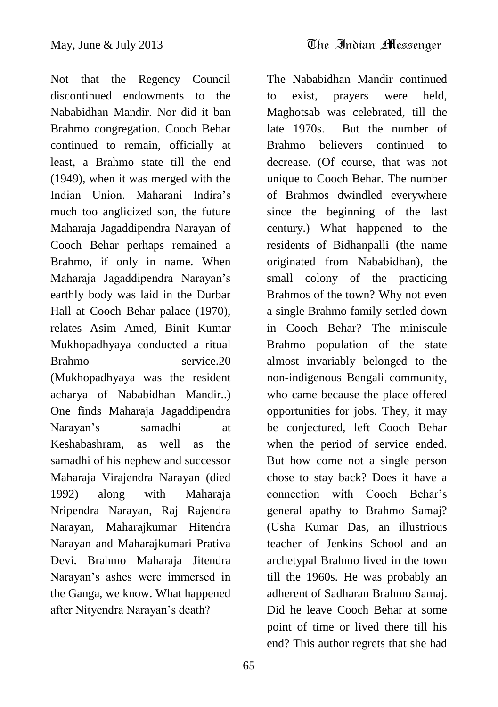Not that the Regency Council discontinued endowments to the Nababidhan Mandir. Nor did it ban Brahmo congregation. Cooch Behar continued to remain, officially at least, a Brahmo state till the end (1949), when it was merged with the Indian Union. Maharani Indira"s much too anglicized son, the future Maharaja Jagaddipendra Narayan of Cooch Behar perhaps remained a Brahmo, if only in name. When Maharaja Jagaddipendra Narayan"s earthly body was laid in the Durbar Hall at Cooch Behar palace (1970), relates Asim Amed, Binit Kumar Mukhopadhyaya conducted a ritual Brahmo service.20 (Mukhopadhyaya was the resident acharya of Nababidhan Mandir..) One finds Maharaja Jagaddipendra Narayan"s samadhi at Keshabashram, as well as the samadhi of his nephew and successor Maharaja Virajendra Narayan (died 1992) along with Maharaja Nripendra Narayan, Raj Rajendra Narayan, Maharajkumar Hitendra Narayan and Maharajkumari Prativa Devi. Brahmo Maharaja Jitendra Narayan"s ashes were immersed in the Ganga, we know. What happened after Nityendra Narayan"s death?

The Nababidhan Mandir continued to exist, prayers were held, Maghotsab was celebrated, till the late 1970s. But the number of Brahmo believers continued to decrease. (Of course, that was not unique to Cooch Behar. The number of Brahmos dwindled everywhere since the beginning of the last century.) What happened to the residents of Bidhanpalli (the name originated from Nababidhan), the small colony of the practicing Brahmos of the town? Why not even a single Brahmo family settled down in Cooch Behar? The miniscule Brahmo population of the state almost invariably belonged to the non-indigenous Bengali community, who came because the place offered opportunities for jobs. They, it may be conjectured, left Cooch Behar when the period of service ended. But how come not a single person chose to stay back? Does it have a connection with Cooch Behar"s general apathy to Brahmo Samaj? (Usha Kumar Das, an illustrious teacher of Jenkins School and an archetypal Brahmo lived in the town till the 1960s. He was probably an adherent of Sadharan Brahmo Samaj. Did he leave Cooch Behar at some point of time or lived there till his end? This author regrets that she had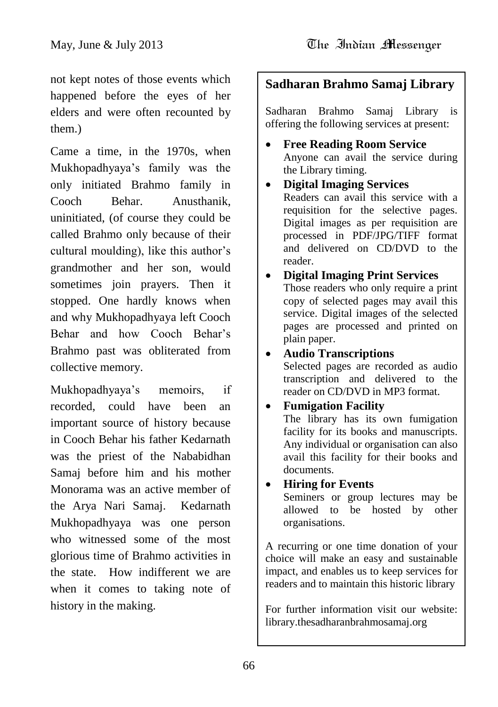not kept notes of those events which happened before the eyes of her elders and were often recounted by them.)

Came a time, in the 1970s, when Mukhopadhyaya"s family was the only initiated Brahmo family in Cooch Behar. Anusthanik, uninitiated, (of course they could be called Brahmo only because of their cultural moulding), like this author"s grandmother and her son, would sometimes join prayers. Then it stopped. One hardly knows when and why Mukhopadhyaya left Cooch Behar and how Cooch Behar"s Brahmo past was obliterated from collective memory.

Mukhopadhyaya"s memoirs, if recorded, could have been an important source of history because in Cooch Behar his father Kedarnath was the priest of the Nababidhan Samaj before him and his mother Monorama was an active member of the Arya Nari Samaj. Kedarnath Mukhopadhyaya was one person who witnessed some of the most glorious time of Brahmo activities in the state. How indifferent we are when it comes to taking note of history in the making.

## **Sadharan Brahmo Samaj Library**

Sadharan Brahmo Samaj Library is offering the following services at present:

- **Free Reading Room Service** Anyone can avail the service during the Library timing.
- **Digital Imaging Services** Readers can avail this service with a requisition for the selective pages. Digital images as per requisition are processed in PDF/JPG/TIFF format and delivered on CD/DVD to the reader.

#### **Digital Imaging Print Services** Those readers who only require a print copy of selected pages may avail this service. Digital images of the selected pages are processed and printed on plain paper.

## **Audio Transcriptions**

Selected pages are recorded as audio transcription and delivered to the reader on CD/DVD in MP3 format.

## **Fumigation Facility**

The library has its own fumigation facility for its books and manuscripts. Any individual or organisation can also avail this facility for their books and documents.

### **Hiring for Events**

Seminers or group lectures may be allowed to be hosted by other organisations.

A recurring or one time donation of your choice will make an easy and sustainable impact, and enables us to keep services for readers and to maintain this historic library

For further information visit our website: library.thesadharanbrahmosamaj.org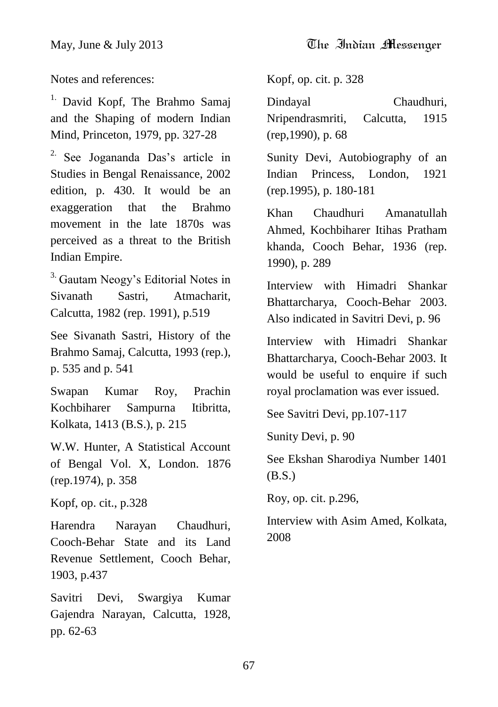Notes and references:

<sup>1.</sup> David Kopf, The Brahmo Samaj and the Shaping of modern Indian Mind, Princeton, 1979, pp. 327-28

<sup>2.</sup> See Jogananda Das's article in Studies in Bengal Renaissance, 2002 edition, p. 430. It would be an exaggeration that the Brahmo movement in the late 1870s was perceived as a threat to the British Indian Empire.

<sup>3.</sup> Gautam Neogy's Editorial Notes in Sivanath Sastri, Atmacharit, Calcutta, 1982 (rep. 1991), p.519

See Sivanath Sastri, History of the Brahmo Samaj, Calcutta, 1993 (rep.), p. 535 and p. 541

Swapan Kumar Roy, Prachin Kochbiharer Sampurna Itibritta, Kolkata, 1413 (B.S.), p. 215

W.W. Hunter, A Statistical Account of Bengal Vol. X, London. 1876 (rep.1974), p. 358

Kopf, op. cit., p.328

Harendra Narayan Chaudhuri, Cooch-Behar State and its Land Revenue Settlement, Cooch Behar, 1903, p.437

Savitri Devi, Swargiya Kumar Gajendra Narayan, Calcutta, 1928, pp. 62-63

Kopf, op. cit. p. 328

Dindayal Chaudhuri, Nripendrasmriti, Calcutta, 1915 (rep,1990), p. 68

Sunity Devi, Autobiography of an Indian Princess, London, 1921 (rep.1995), p. 180-181

Khan Chaudhuri Amanatullah Ahmed, Kochbiharer Itihas Pratham khanda, Cooch Behar, 1936 (rep. 1990), p. 289

Interview with Himadri Shankar Bhattarcharya, Cooch-Behar 2003. Also indicated in Savitri Devi, p. 96

Interview with Himadri Shankar Bhattarcharya, Cooch-Behar 2003. It would be useful to enquire if such royal proclamation was ever issued.

See Savitri Devi, pp.107-117

Sunity Devi, p. 90

See Ekshan Sharodiya Number 1401 (B.S.)

Roy, op. cit. p.296,

Interview with Asim Amed, Kolkata, 2008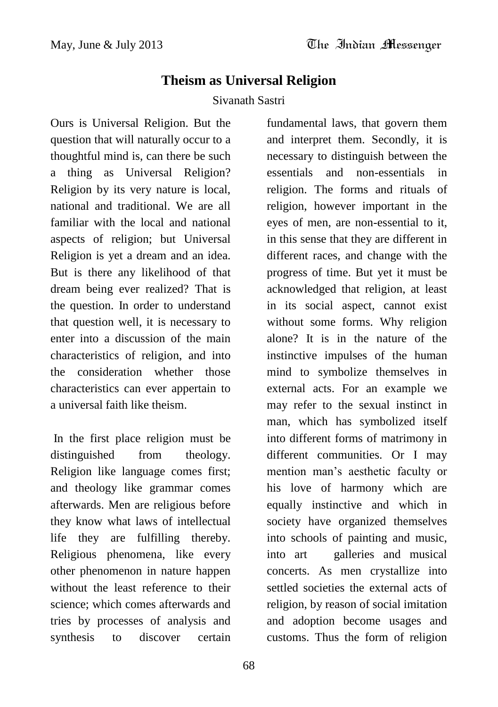fundamental laws, that govern them

## **Theism as Universal Religion**

### Sivanath Sastri

Ours is Universal Religion. But the question that will naturally occur to a thoughtful mind is, can there be such a thing as Universal Religion? Religion by its very nature is local, national and traditional. We are all familiar with the local and national aspects of religion; but Universal Religion is yet a dream and an idea. But is there any likelihood of that dream being ever realized? That is the question. In order to understand that question well, it is necessary to enter into a discussion of the main characteristics of religion, and into the consideration whether those characteristics can ever appertain to a universal faith like theism.

In the first place religion must be distinguished from theology. Religion like language comes first; and theology like grammar comes afterwards. Men are religious before they know what laws of intellectual life they are fulfilling thereby. Religious phenomena, like every other phenomenon in nature happen without the least reference to their science; which comes afterwards and tries by processes of analysis and synthesis to discover certain

and interpret them. Secondly, it is necessary to distinguish between the essentials and non-essentials in religion. The forms and rituals of religion, however important in the eyes of men, are non-essential to it, in this sense that they are different in different races, and change with the progress of time. But yet it must be acknowledged that religion, at least in its social aspect, cannot exist without some forms. Why religion alone? It is in the nature of the instinctive impulses of the human mind to symbolize themselves in external acts. For an example we may refer to the sexual instinct in man, which has symbolized itself into different forms of matrimony in different communities. Or I may mention man"s aesthetic faculty or his love of harmony which are equally instinctive and which in society have organized themselves into schools of painting and music, into art galleries and musical concerts. As men crystallize into settled societies the external acts of religion, by reason of social imitation and adoption become usages and customs. Thus the form of religion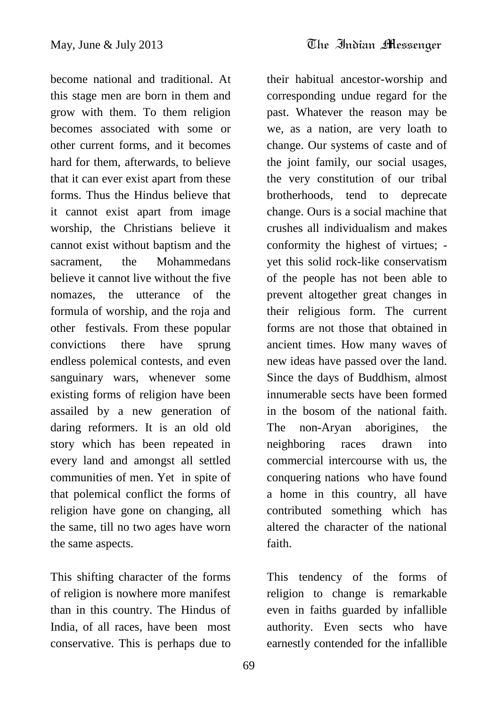become national and traditional. At this stage men are born in them and grow with them. To them religion becomes associated with some or other current forms, and it becomes hard for them, afterwards, to believe that it can ever exist apart from these forms. Thus the Hindus believe that it cannot exist apart from image worship, the Christians believe it cannot exist without baptism and the sacrament, the Mohammedans believe it cannot live without the five nomazes, the utterance of the formula of worship, and the roja and other festivals. From these popular convictions there have sprung endless polemical contests, and even sanguinary wars, whenever some existing forms of religion have been assailed by a new generation of daring reformers. It is an old old story which has been repeated in every land and amongst all settled communities of men. Yet in spite of that polemical conflict the forms of religion have gone on changing, all the same, till no two ages have worn the same aspects.

This shifting character of the forms of religion is nowhere more manifest than in this country. The Hindus of India, of all races, have been most conservative. This is perhaps due to

their habitual ancestor-worship and corresponding undue regard for the past. Whatever the reason may be we, as a nation, are very loath to change. Our systems of caste and of the joint family, our social usages, the very constitution of our tribal brotherhoods, tend to deprecate change. Ours is a social machine that crushes all individualism and makes conformity the highest of virtues; yet this solid rock-like conservatism of the people has not been able to prevent altogether great changes in their religious form. The current forms are not those that obtained in ancient times. How many waves of new ideas have passed over the land. Since the days of Buddhism, almost innumerable sects have been formed in the bosom of the national faith. The non-Aryan aborigines, the neighboring races drawn into commercial intercourse with us, the conquering nations who have found a home in this country, all have contributed something which has altered the character of the national faith.

This tendency of the forms of religion to change is remarkable even in faiths guarded by infallible authority. Even sects who have earnestly contended for the infallible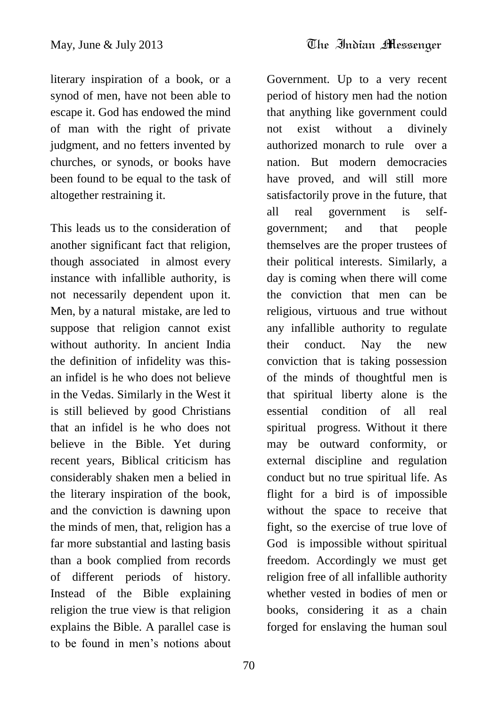literary inspiration of a book, or a synod of men, have not been able to escape it. God has endowed the mind of man with the right of private judgment, and no fetters invented by churches, or synods, or books have been found to be equal to the task of altogether restraining it.

This leads us to the consideration of another significant fact that religion, though associated in almost every instance with infallible authority, is not necessarily dependent upon it. Men, by a natural mistake, are led to suppose that religion cannot exist without authority. In ancient India the definition of infidelity was thisan infidel is he who does not believe in the Vedas. Similarly in the West it is still believed by good Christians that an infidel is he who does not believe in the Bible. Yet during recent years, Biblical criticism has considerably shaken men a belied in the literary inspiration of the book, and the conviction is dawning upon the minds of men, that, religion has a far more substantial and lasting basis than a book complied from records of different periods of history. Instead of the Bible explaining religion the true view is that religion explains the Bible. A parallel case is to be found in men's notions about

Government. Up to a very recent period of history men had the notion that anything like government could not exist without a divinely authorized monarch to rule over a nation. But modern democracies have proved, and will still more satisfactorily prove in the future, that all real government is selfgovernment; and that people themselves are the proper trustees of their political interests. Similarly, a day is coming when there will come the conviction that men can be religious, virtuous and true without any infallible authority to regulate their conduct. Nay the new conviction that is taking possession of the minds of thoughtful men is that spiritual liberty alone is the essential condition of all real spiritual progress. Without it there may be outward conformity, or external discipline and regulation conduct but no true spiritual life. As flight for a bird is of impossible without the space to receive that fight, so the exercise of true love of God is impossible without spiritual freedom. Accordingly we must get religion free of all infallible authority whether vested in bodies of men or books, considering it as a chain forged for enslaving the human soul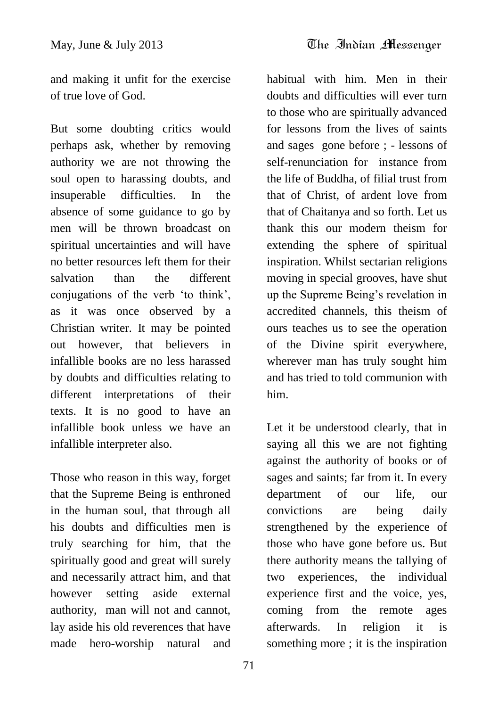and making it unfit for the exercise of true love of God.

But some doubting critics would perhaps ask, whether by removing authority we are not throwing the soul open to harassing doubts, and insuperable difficulties. In the absence of some guidance to go by men will be thrown broadcast on spiritual uncertainties and will have no better resources left them for their salvation than the different conjugations of the verb "to think", as it was once observed by a Christian writer. It may be pointed out however, that believers in infallible books are no less harassed by doubts and difficulties relating to different interpretations of their texts. It is no good to have an infallible book unless we have an infallible interpreter also.

Those who reason in this way, forget that the Supreme Being is enthroned in the human soul, that through all his doubts and difficulties men is truly searching for him, that the spiritually good and great will surely and necessarily attract him, and that however setting aside external authority, man will not and cannot, lay aside his old reverences that have made hero-worship natural and

habitual with him. Men in their doubts and difficulties will ever turn to those who are spiritually advanced for lessons from the lives of saints and sages gone before ; - lessons of self-renunciation for instance from the life of Buddha, of filial trust from that of Christ, of ardent love from that of Chaitanya and so forth. Let us thank this our modern theism for extending the sphere of spiritual inspiration. Whilst sectarian religions moving in special grooves, have shut up the Supreme Being"s revelation in accredited channels, this theism of ours teaches us to see the operation of the Divine spirit everywhere, wherever man has truly sought him and has tried to told communion with him.

Let it be understood clearly, that in saying all this we are not fighting against the authority of books or of sages and saints; far from it. In every department of our life, our convictions are being daily strengthened by the experience of those who have gone before us. But there authority means the tallying of two experiences, the individual experience first and the voice, yes, coming from the remote ages afterwards. In religion it is something more ; it is the inspiration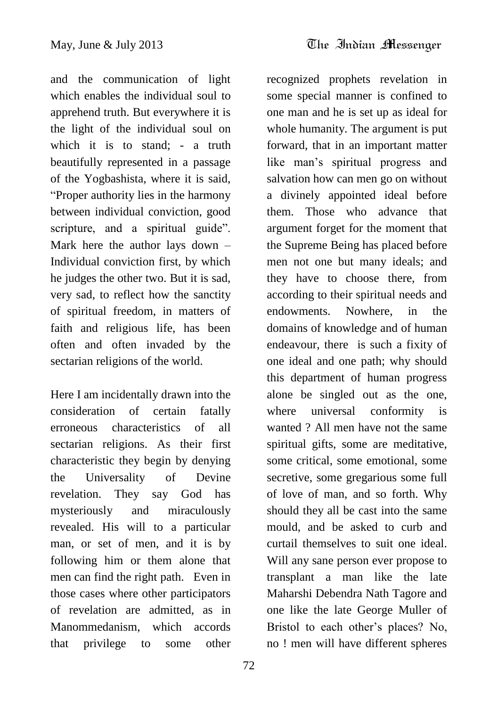and the communication of light which enables the individual soul to apprehend truth. But everywhere it is the light of the individual soul on which it is to stand: - a truth beautifully represented in a passage of the Yogbashista, where it is said, "Proper authority lies in the harmony between individual conviction, good scripture, and a spiritual guide". Mark here the author lays down – Individual conviction first, by which he judges the other two. But it is sad, very sad, to reflect how the sanctity of spiritual freedom, in matters of faith and religious life, has been often and often invaded by the sectarian religions of the world.

Here I am incidentally drawn into the consideration of certain fatally erroneous characteristics of all sectarian religions. As their first characteristic they begin by denying the Universality of Devine revelation. They say God has mysteriously and miraculously revealed. His will to a particular man, or set of men, and it is by following him or them alone that men can find the right path. Even in those cases where other participators of revelation are admitted, as in Manommedanism, which accords that privilege to some other

recognized prophets revelation in some special manner is confined to one man and he is set up as ideal for whole humanity. The argument is put forward, that in an important matter like man"s spiritual progress and salvation how can men go on without a divinely appointed ideal before them. Those who advance that argument forget for the moment that the Supreme Being has placed before men not one but many ideals; and they have to choose there, from according to their spiritual needs and endowments. Nowhere, in the domains of knowledge and of human endeavour, there is such a fixity of one ideal and one path; why should this department of human progress alone be singled out as the one, where universal conformity is wanted ? All men have not the same spiritual gifts, some are meditative, some critical, some emotional, some secretive, some gregarious some full of love of man, and so forth. Why should they all be cast into the same mould, and be asked to curb and curtail themselves to suit one ideal. Will any sane person ever propose to transplant a man like the late Maharshi Debendra Nath Tagore and one like the late George Muller of Bristol to each other"s places? No, no ! men will have different spheres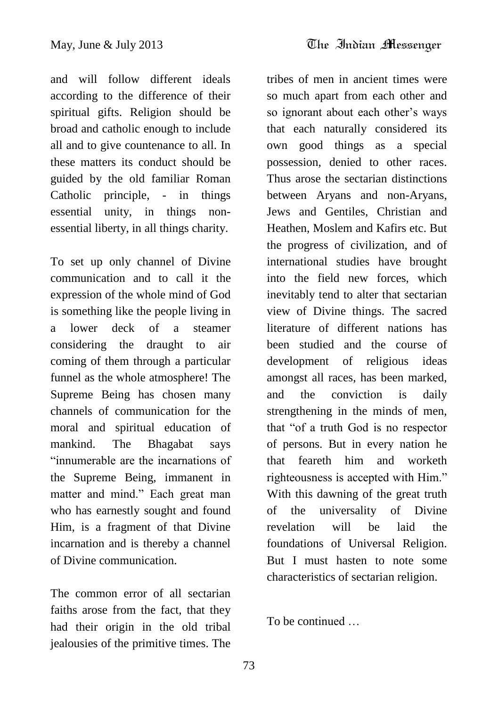and will follow different ideals according to the difference of their spiritual gifts. Religion should be broad and catholic enough to include all and to give countenance to all. In these matters its conduct should be guided by the old familiar Roman Catholic principle, - in things essential unity, in things nonessential liberty, in all things charity.

To set up only channel of Divine communication and to call it the expression of the whole mind of God is something like the people living in a lower deck of a steamer considering the draught to air coming of them through a particular funnel as the whole atmosphere! The Supreme Being has chosen many channels of communication for the moral and spiritual education of mankind. The Bhagabat says "innumerable are the incarnations of the Supreme Being, immanent in matter and mind." Each great man who has earnestly sought and found Him, is a fragment of that Divine incarnation and is thereby a channel of Divine communication.

The common error of all sectarian faiths arose from the fact, that they had their origin in the old tribal jealousies of the primitive times. The tribes of men in ancient times were so much apart from each other and so ignorant about each other's ways that each naturally considered its own good things as a special possession, denied to other races. Thus arose the sectarian distinctions between Aryans and non-Aryans, Jews and Gentiles, Christian and Heathen, Moslem and Kafirs etc. But the progress of civilization, and of international studies have brought into the field new forces, which inevitably tend to alter that sectarian view of Divine things. The sacred literature of different nations has been studied and the course of development of religious ideas amongst all races, has been marked, and the conviction is daily strengthening in the minds of men, that "of a truth God is no respector of persons. But in every nation he that feareth him and worketh righteousness is accepted with Him." With this dawning of the great truth of the universality of Divine revelation will be laid the foundations of Universal Religion. But I must hasten to note some characteristics of sectarian religion.

To be continued …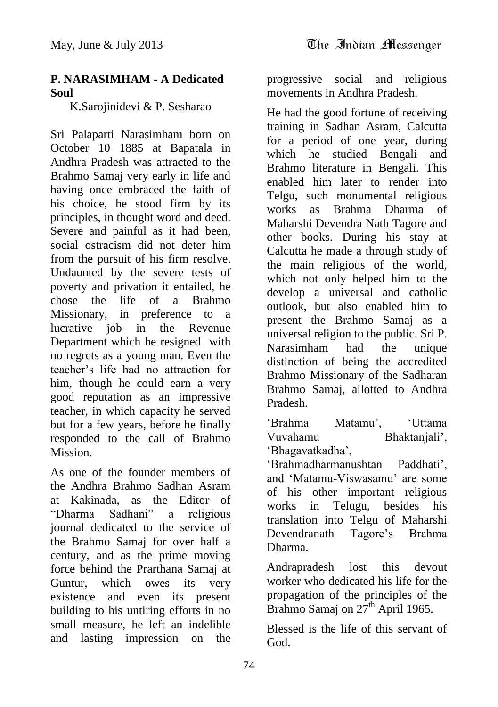### **P. NARASIMHAM - A Dedicated Soul**

K.Sarojinidevi & P. Sesharao

Sri Palaparti Narasimham born on October 10 1885 at Bapatala in Andhra Pradesh was attracted to the Brahmo Samaj very early in life and having once embraced the faith of his choice, he stood firm by its principles, in thought word and deed. Severe and painful as it had been, social ostracism did not deter him from the pursuit of his firm resolve. Undaunted by the severe tests of poverty and privation it entailed, he chose the life of a Brahmo Missionary, in preference to a lucrative job in the Revenue Department which he resigned with no regrets as a young man. Even the teacher"s life had no attraction for him, though he could earn a very good reputation as an impressive teacher, in which capacity he served but for a few years, before he finally responded to the call of Brahmo Mission.

As one of the founder members of the Andhra Brahmo Sadhan Asram at Kakinada, as the Editor of "Dharma Sadhani" a religious journal dedicated to the service of the Brahmo Samaj for over half a century, and as the prime moving force behind the Prarthana Samaj at Guntur, which owes its very existence and even its present building to his untiring efforts in no small measure, he left an indelible and lasting impression on the

progressive social and religious movements in Andhra Pradesh.

He had the good fortune of receiving training in Sadhan Asram, Calcutta for a period of one year, during which he studied Bengali and Brahmo literature in Bengali. This enabled him later to render into Telgu, such monumental religious works as Brahma Dharma of Maharshi Devendra Nath Tagore and other books. During his stay at Calcutta he made a through study of the main religious of the world, which not only helped him to the develop a universal and catholic outlook, but also enabled him to present the Brahmo Samaj as a universal religion to the public. Sri P. Narasimham had the unique distinction of being the accredited Brahmo Missionary of the Sadharan Brahmo Samaj, allotted to Andhra Pradesh.

"Brahma Matamu", "Uttama Vuvahamu Bhaktanjali", "Bhagavatkadha",

"Brahmadharmanushtan Paddhati", and "Matamu-Viswasamu" are some of his other important religious works in Telugu, besides his translation into Telgu of Maharshi Devendranath Tagore"s Brahma Dharma.

Andrapradesh lost this devout worker who dedicated his life for the propagation of the principles of the Brahmo Samaj on  $27<sup>th</sup>$  April 1965.

Blessed is the life of this servant of God.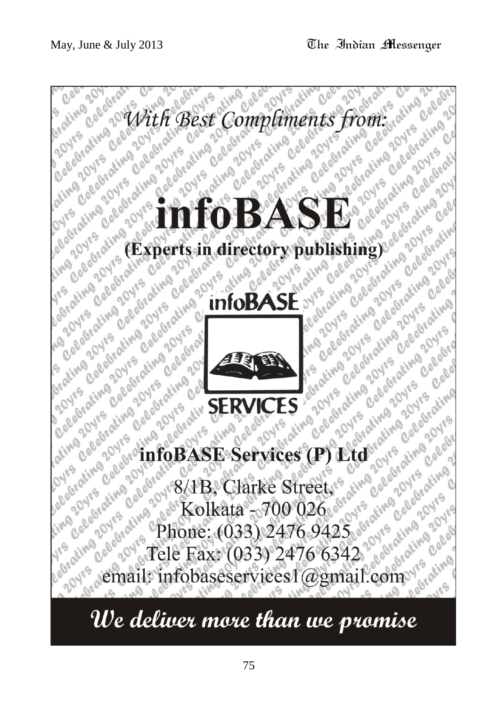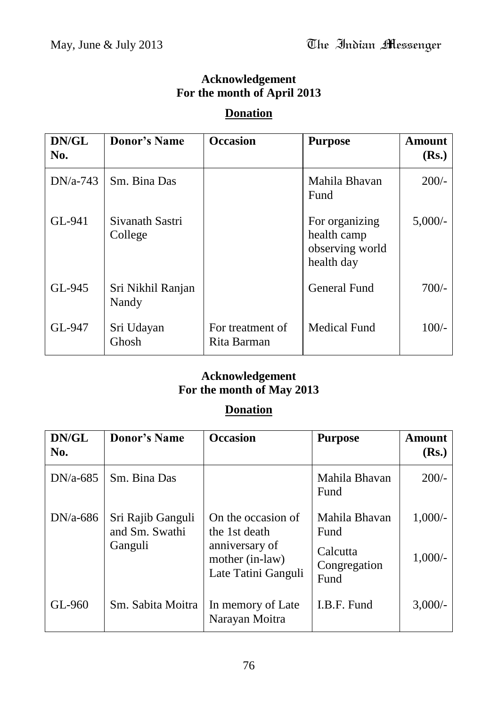## **Acknowledgement For the month of April 2013**

### **Donation**

| DN/GL<br>No. | <b>Donor's Name</b>        | <b>Occasion</b>                 | <b>Purpose</b>                                                 | <b>Amount</b><br>(Rs.) |
|--------------|----------------------------|---------------------------------|----------------------------------------------------------------|------------------------|
| $DN/a-743$   | Sm. Bina Das               |                                 | Mahila Bhavan<br>Fund                                          | $200/-$                |
| GL-941       | Sivanath Sastri<br>College |                                 | For organizing<br>health camp<br>observing world<br>health day | $5,000/-$              |
| GL-945       | Sri Nikhil Ranjan<br>Nandy |                                 | <b>General Fund</b>                                            | $700/-$                |
| GL-947       | Sri Udayan<br>Ghosh        | For treatment of<br>Rita Barman | <b>Medical Fund</b>                                            | $100/-$                |

## **Acknowledgement For the month of May 2013**

## **Donation**

| DN/GL<br>No. | <b>Donor's Name</b>                            | <b>Occasion</b>                                                                                 | <b>Purpose</b>                                            | <b>Amount</b><br>(Rs.) |
|--------------|------------------------------------------------|-------------------------------------------------------------------------------------------------|-----------------------------------------------------------|------------------------|
| $DN/a-685$   | Sm. Bina Das                                   |                                                                                                 | Mahila Bhavan<br>Fund                                     | $200/-$                |
| $DN/a-686$   | Sri Rajib Ganguli<br>and Sm. Swathi<br>Ganguli | On the occasion of<br>the 1st death<br>anniversary of<br>mother (in-law)<br>Late Tatini Ganguli | Mahila Bhavan<br>Fund<br>Calcutta<br>Congregation<br>Fund | $1,000/-$<br>$1,000/-$ |
| GL-960       | Sm. Sabita Moitra                              | In memory of Late<br>Narayan Moitra                                                             | I.B.F. Fund                                               | 3,000/                 |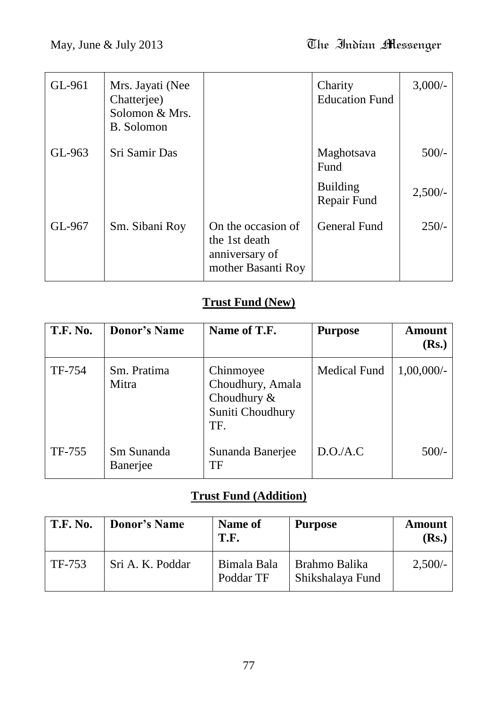| GL-961 | Mrs. Jayati (Nee<br>Chatterjee)<br>Solomon & Mrs.<br><b>B.</b> Solomon |                                                                             | Charity<br><b>Education Fund</b> | $3,000/-$ |
|--------|------------------------------------------------------------------------|-----------------------------------------------------------------------------|----------------------------------|-----------|
| GL-963 | Sri Samir Das                                                          |                                                                             | Maghotsava<br>Fund               | $500/-$   |
|        |                                                                        |                                                                             | <b>Building</b><br>Repair Fund   | 2,500/    |
| GL-967 | Sm. Sibani Roy                                                         | On the occasion of<br>the 1st death<br>anniversary of<br>mother Basanti Roy | <b>General Fund</b>              | $250/-$   |

## **Trust Fund (New)**

| <b>T.F. No.</b> | <b>Donor's Name</b>    | Name of T.F.                                                               | <b>Purpose</b>      | Amount<br>( <b>Rs.</b> ) |
|-----------------|------------------------|----------------------------------------------------------------------------|---------------------|--------------------------|
| TF-754          | Sm. Pratima<br>Mitra   | Chinmoyee<br>Choudhury, Amala<br>Choudhury $\&$<br>Suniti Choudhury<br>TF. | <b>Medical Fund</b> | $1,00,000/$ -            |
| TF-755          | Sm Sunanda<br>Banerjee | Sunanda Banerjee<br>TF                                                     | D.O.A.C             | $500/-$                  |

## **Trust Fund (Addition)**

| T.F. No. | <b>Donor's Name</b> | Name of<br>T.F.          | <b>Purpose</b>                    | <b>Amount</b><br>(Rs.) |
|----------|---------------------|--------------------------|-----------------------------------|------------------------|
| TF-753   | Sri A. K. Poddar    | Bimala Bala<br>Poddar TF | Brahmo Balika<br>Shikshalaya Fund | $2,500/-$              |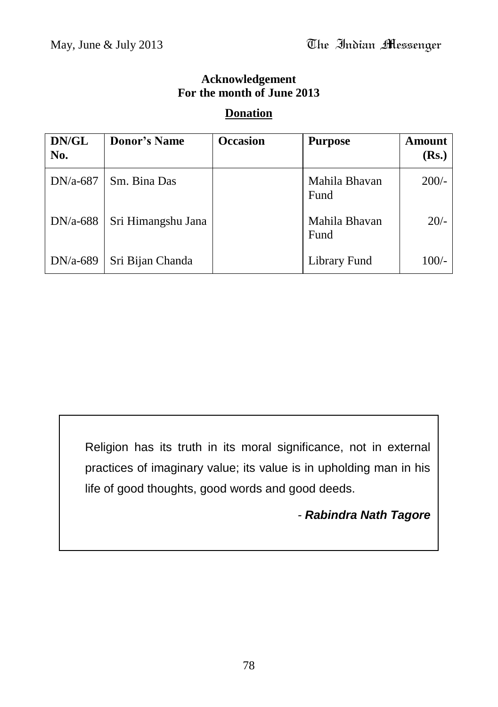## **Acknowledgement For the month of June 2013**

#### **Donation**

| DN/GL<br>No. | <b>Donor's Name</b> | <b>Occasion</b> | <b>Purpose</b>        | Amount<br>( <b>Rs.</b> ) |
|--------------|---------------------|-----------------|-----------------------|--------------------------|
| $DN/a-687$   | Sm. Bina Das        |                 | Mahila Bhavan<br>Fund | $200/-$                  |
| $DN/a-688$   | Sri Himangshu Jana  |                 | Mahila Bhavan<br>Fund | $20/-$                   |
| $DN/a-689$   | Sri Bijan Chanda    |                 | Library Fund          | $100/-$                  |

Religion has its truth in its moral significance, not in external practices of imaginary value; its value is in upholding man in his life of good thoughts, good words and good deeds.

*- Rabindra Nath Tagore*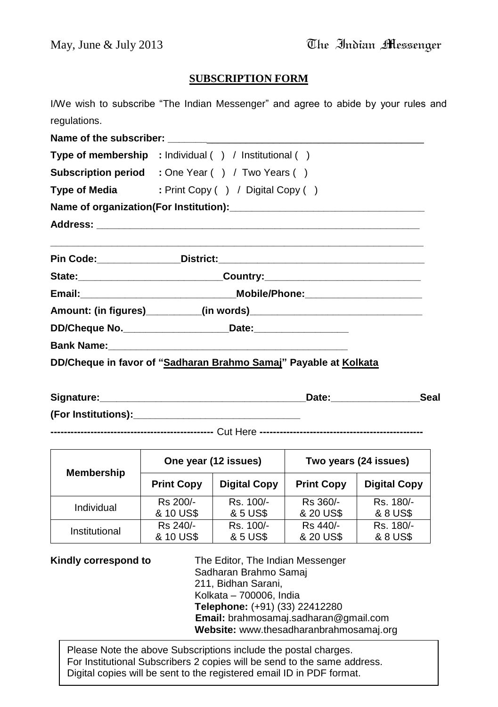#### **SUBSCRIPTION FORM**

I/We wish to subscribe "The Indian Messenger" and agree to abide by your rules and regulations.

| Type of membership : Individual () / Institutional ()                            |
|----------------------------------------------------------------------------------|
| <b>Subscription period</b> : One Year () / Two Years ()                          |
| Type of Media : Print Copy () / Digital Copy ()                                  |
|                                                                                  |
|                                                                                  |
|                                                                                  |
| State: _________________________________Country: _______________________________ |
|                                                                                  |
|                                                                                  |
| DD/Cheque No. ________________________________Date:_____________________________ |
|                                                                                  |
| DD/Cheque in favor of "Sadharan Brahmo Samaj" Payable at Kolkata                 |

| Signature:          | Date∶ | Seal |
|---------------------|-------|------|
| (For Institutions): |       |      |

**-------------------------------------------------** Cut Here **-------------------------------------------------**

| <b>Membership</b> | One year (12 issues) |                     | Two years (24 issues) |                     |
|-------------------|----------------------|---------------------|-----------------------|---------------------|
|                   | <b>Print Copy</b>    | <b>Digital Copy</b> | <b>Print Copy</b>     | <b>Digital Copy</b> |
| Individual        | Rs 200/-             | Rs. 100/-           | Rs 360/-              | Rs. 180/-           |
|                   | & 10 US\$            | & 5 US\$            | & 20 US\$             | & 8 US\$            |
| Institutional     | Rs 240/-             | Rs. 100/-           | Rs 440/-              | Rs. 180/-           |
|                   | & 10 US\$            | & 5 US\$            | & 20 US\$             | & 8 US\$            |

**Kindly correspond to** The Editor, The Indian Messenger Sadharan Brahmo Samaj 211, Bidhan Sarani, Kolkata – 700006, India **Telephone:** (+91) (33) 22412280 **Email:** brahmosamaj.sadharan@gmail.com **Website:** www.thesadharanbrahmosamaj.org

For Institutional Subscribers 2 copies will be send to the same address.<br>Dirital conics will be sent to the seriate address! ID in DDE farmet. Please Note the above Subscriptions include the postal charges. Digital copies will be sent to the registered email ID in PDF format.